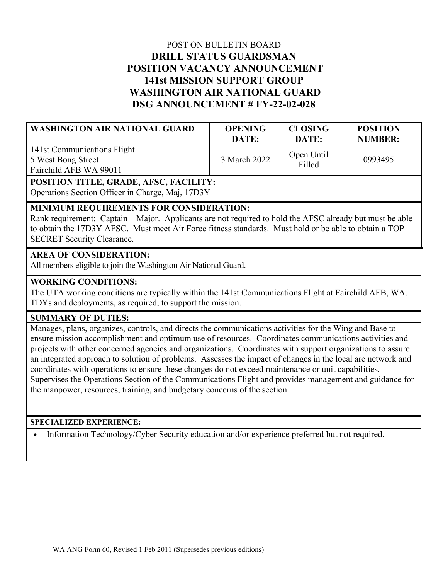# POST ON BULLETIN BOARD **DRILL STATUS GUARDSMAN POSITION VACANCY ANNOUNCEMENT 141st MISSION SUPPORT GROUP WASHINGTON AIR NATIONAL GUARD DSG ANNOUNCEMENT # FY-22-02-028**

| <b>WASHINGTON AIR NATIONAL GUARD</b>                                        | <b>OPENING</b> | <b>CLOSING</b>       | <b>POSITION</b> |
|-----------------------------------------------------------------------------|----------------|----------------------|-----------------|
|                                                                             | DATE:          | DATE:                | <b>NUMBER:</b>  |
| 141st Communications Flight<br>5 West Bong Street<br>Fairchild AFB WA 99011 | 3 March 2022   | Open Until<br>Filled | 0993495         |

#### **POSITION TITLE, GRADE, AFSC, FACILITY:**

Operations Section Officer in Charge, Maj, 17D3Y

## **MINIMUM REQUIREMENTS FOR CONSIDERATION:**

Rank requirement: Captain – Major. Applicants are not required to hold the AFSC already but must be able to obtain the 17D3Y AFSC. Must meet Air Force fitness standards. Must hold or be able to obtain a TOP SECRET Security Clearance.

### **AREA OF CONSIDERATION:**

All members eligible to join the Washington Air National Guard.

### **WORKING CONDITIONS:**

The UTA working conditions are typically within the 141st Communications Flight at Fairchild AFB, WA. TDYs and deployments, as required, to support the mission.

### **SUMMARY OF DUTIES:**

Manages, plans, organizes, controls, and directs the communications activities for the Wing and Base to ensure mission accomplishment and optimum use of resources. Coordinates communications activities and projects with other concerned agencies and organizations. Coordinates with support organizations to assure an integrated approach to solution of problems. Assesses the impact of changes in the local are network and coordinates with operations to ensure these changes do not exceed maintenance or unit capabilities. Supervises the Operations Section of the Communications Flight and provides management and guidance for the manpower, resources, training, and budgetary concerns of the section.

### **SPECIALIZED EXPERIENCE:**

Information Technology/Cyber Security education and/or experience preferred but not required.